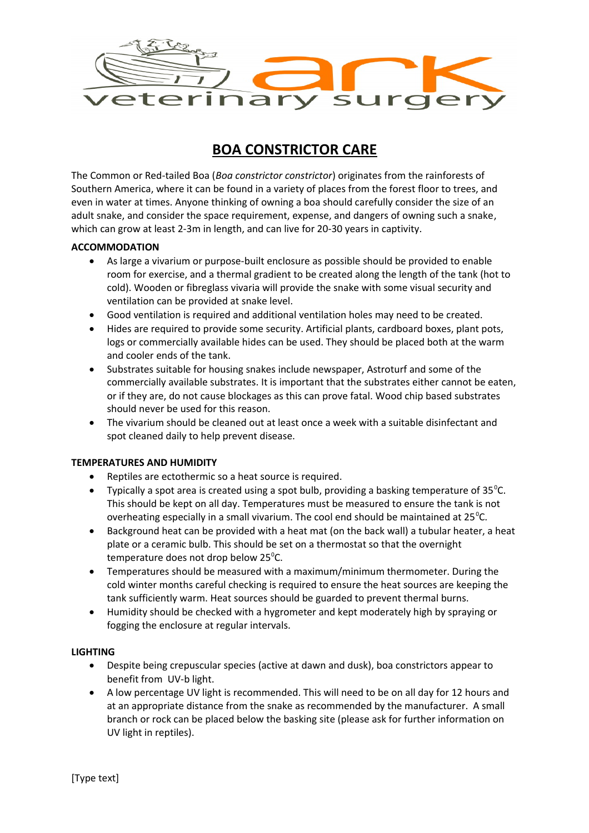

# **BOA CONSTRICTOR CARE**

The Common or Red-tailed Boa (*Boa constrictor constrictor*) originates from the rainforests of Southern America, where it can be found in a variety of places from the forest floor to trees, and even in water at times. Anyone thinking of owning a boa should carefully consider the size of an adult snake, and consider the space requirement, expense, and dangers of owning such a snake, which can grow at least 2-3m in length, and can live for 20-30 years in captivity.

## **ACCOMMODATION**

- As large a vivarium or purpose-built enclosure as possible should be provided to enable room for exercise, and a thermal gradient to be created along the length of the tank (hot to cold). Wooden or fibreglass vivaria will provide the snake with some visual security and ventilation can be provided at snake level.
- Good ventilation is required and additional ventilation holes may need to be created.
- Hides are required to provide some security. Artificial plants, cardboard boxes, plant pots, logs or commercially available hides can be used. They should be placed both at the warm and cooler ends of the tank.
- Substrates suitable for housing snakes include newspaper, Astroturf and some of the commercially available substrates. It is important that the substrates either cannot be eaten, or if they are, do not cause blockages as this can prove fatal. Wood chip based substrates should never be used for this reason.
- The vivarium should be cleaned out at least once a week with a suitable disinfectant and spot cleaned daily to help prevent disease.

## **TEMPERATURES AND HUMIDITY**

- Reptiles are ectothermic so a heat source is required.
- Typically a spot area is created using a spot bulb, providing a basking temperature of 35 $^{\circ}$ C. This should be kept on all day. Temperatures must be measured to ensure the tank is not overheating especially in a small vivarium. The cool end should be maintained at  $25^{\circ}$ C.
- Background heat can be provided with a heat mat (on the back wall) a tubular heater, a heat plate or a ceramic bulb. This should be set on a thermostat so that the overnight temperature does not drop below 25 $^{\circ}$ C.
- Temperatures should be measured with a maximum/minimum thermometer. During the cold winter months careful checking is required to ensure the heat sources are keeping the tank sufficiently warm. Heat sources should be guarded to prevent thermal burns.
- Humidity should be checked with a hygrometer and kept moderately high by spraying or fogging the enclosure at regular intervals.

## **LIGHTING**

- Despite being crepuscular species (active at dawn and dusk), boa constrictors appear to benefit from UV-b light.
- A low percentage UV light is recommended. This will need to be on all day for 12 hours and at an appropriate distance from the snake as recommended by the manufacturer. A small branch or rock can be placed below the basking site (please ask for further information on UV light in reptiles).